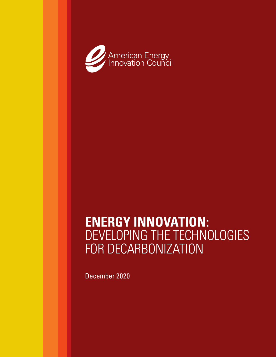

# **ENERGY INNOVATION:** DEVELOPING THE TECHNOLOGIES FOR DECARBONIZATION

December 2020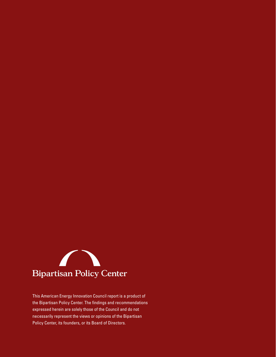

This American Energy Innovation Council report is a product of the Bipartisan Policy Center. The findings and recommendations expressed herein are solely those of the Council and do not necessarily represent the views or opinions of the Bipartisan Policy Center, its founders, or its Board of Directors.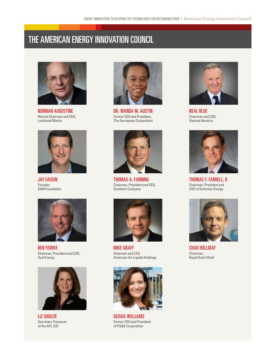# THE AMERICAN ENERGY INNOVATION COUNCIL



NORMAN AUGUSTINE Retired Chairman and CEO, Lockheed Martin



JAY FAISON Founder, 2040 Foundation



BEN FOWKE Chairman, President and CEO, Xcel Energy



LIZ SHULER Secretary-Treasurer of the AFL-CIO



DR. WANDA M. AUSTIN Former CEO and President, The Aerospace Corporation



THOMAS A. FANNING Chairman, President and CEO, Southern Company



MIKE GRAFF Chairman and CEO, American Air Liquide Holdings



GEISHA WILLIAMS Former CEO and President of PG&E Corporation



NEAL BLUE Chairman and CEO, General Atomics



THOMAS F. FARRELL, II Chairman, President and CEO of Dominion Energy



CHAD HOLLIDAY Chairman, Royal Dutch Shell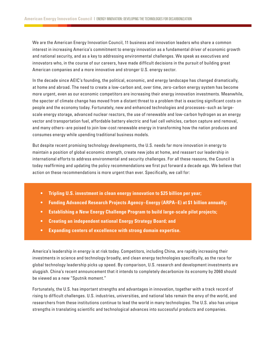We are the American Energy Innovation Council, 11 business and innovation leaders who share a common interest in increasing America's commitment to energy innovation as a fundamental driver of economic growth and national security, and as a key to addressing environmental challenges. We speak as executives and innovators who, in the course of our careers, have made difficult decisions in the pursuit of building great American companies and a more innovative and stronger U.S. energy sector.

In the decade since AEIC's founding, the political, economic, and energy landscape has changed dramatically, at home and abroad. The need to create a low-carbon and, over time, zero-carbon energy system has become more urgent, even as our economic competitors are increasing their energy innovation investments. Meanwhile, the specter of climate change has moved from a distant threat to a problem that is exacting significant costs on people and the economy today. Fortunately, new and enhanced technologies and processes–such as largescale energy storage, advanced nuclear reactors, the use of renewable and low-carbon hydrogen as an energy vector and transportation fuel, affordable battery electric and fuel cell vehicles, carbon capture and removal, and many others–are poised to join low-cost renewable energy in transforming how the nation produces and consumes energy while upending traditional business models.

But despite recent promising technology developments, the U.S. needs far more innovation in energy to maintain a position of global economic strength, create new jobs at home, and reassert our leadership in international efforts to address environmental and security challenges. For all these reasons, the Council is today reaffirming and updating the policy recommendations we first put forward a decade ago. We believe that action on these recommendations is more urgent than ever. Specifically, we call for:

- **• Tripling U.S. investment in clean energy innovation to \$25 billion per year;**
- **• Funding Advanced Research Projects Agency–Energy (ARPA–E) at \$1 billion annually;**
- **• Establishing a New Energy Challenge Program to build large-scale pilot projects;**
- **• Creating an independent national Energy Strategy Board; and**
- **• Expanding centers of excellence with strong domain expertise.**

America's leadership in energy is at risk today. Competitors, including China, are rapidly increasing their investments in science and technology broadly, and clean energy technologies specifically, as the race for global technology leadership picks up speed. By comparison, U.S. research and development investments are sluggish. China's recent announcement that it intends to completely decarbonize its economy by 2060 should be viewed as a new "Sputnik moment."

Fortunately, the U.S. has important strengths and advantages in innovation, together with a track record of rising to difficult challenges. U.S. industries, universities, and national labs remain the envy of the world, and researchers from these institutions continue to lead the world in many technologies. The U.S. also has unique strengths in translating scientific and technological advances into successful products and companies.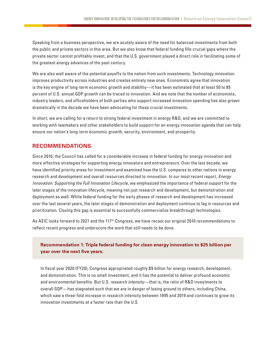Speaking from a business perspective, we are acutely aware of the need for balanced investments from both the public and private sectors in this area. But we also know that federal funding fills crucial gaps where the private sector cannot profitably invest, and that the U.S. government played a direct role in facilitating some of the greatest energy advances of the past century.

We are also well aware of the potential payoffs to the nation from such investments. Technology innovation improves productivity across industries and creates entirely new ones. Economists agree that innovation is the key engine of long-term economic growth and stability—it has been estimated that at least 50 to 85 percent of U.S. annual GDP growth can be traced to innovation. And we note that the number of economists, industry leaders, and officeholders of both parties who support increased innovation spending has also grown dramatically in the decade we have been advocating for these crucial investments.

In short, we are calling for a return to strong federal investment in energy R&D, and we are committed to working with lawmakers and other stakeholders to build support for an energy innovation agenda that can help ensure our nation's long-term economic growth, security, environment, and prosperity.

# **RECOMMENDATIONS**

Since 2010, the Council has called for a considerable increase in federal funding for energy innovation and more effective strategies for supporting energy innovators and entrepreneurs. Over the last decade, we have identified priority areas for investment and examined how the U.S. compares to other nations in energy research and development and overall resources directed to innovation. In our most recent report, *Energy Innovation: Supporting the Full Innovation Lifecycle*, we emphasized the importance of federal support for the later stages of the innovation lifecycle, meaning not just research and development, but demonstration and deployment as well. While federal funding for the early phases of research and development has increased over the last several years, the later stages of demonstration and deployment continue to lag in resources and prioritization. Closing this gap is essential to successfully commercialize breakthrough technologies.

As AEIC looks forward to 2021 and the 117<sup>th</sup> Congress, we have recast our original 2010 recommendations to reflect recent progress and underscore the work that still needs to be done.

## **Recommendation 1: Triple federal funding for clean energy innovation to \$25 billion per year over the next five years.**

In fiscal year 2020 (FY20), Congress appropriated roughly \$9 billion for energy research, development, and demonstration. This is no small investment, and it has the potential to deliver profound economic and environmental benefits. But U.S. *research intensity*—that is, the ratio of R&D investments to overall GDP—has stagnated such that we are in danger of losing ground to others, including China, which saw a three-fold increase in research intensity between 1995 and 2019 and continues to grow its innovation investments at a faster rate than the U.S.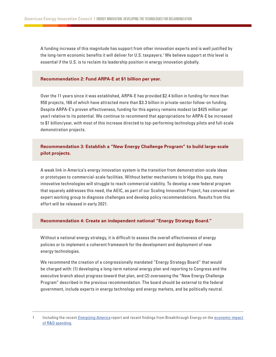A funding increase of this magnitude has support from other innovation experts and is well justified by the long-term economic benefits it will deliver for U.S. taxpayers.1 We believe support at this level is essential if the U.S. is to reclaim its leadership position in energy innovation globally.

#### **Recommendation 2: Fund ARPA-E at \$1 billion per year.**

Over the 11 years since it was established, ARPA-E has provided \$2.4 billion in funding for more than 950 projects, 166 of which have attracted more than \$3.3 billion in private-sector follow-on funding. Despite ARPA-E's proven effectiveness, funding for this agency remains modest (at \$425 million per year) relative to its potential. We continue to recommend that appropriations for ARPA-E be increased to \$1 billion/year, with most of this increase directed to top-performing technology pilots and full-scale demonstration projects.

### **Recommendation 3: Establish a "New Energy Challenge Program" to build large-scale pilot projects.**

A weak link in America's energy innovation system is the transition from demonstration-scale ideas or prototypes to commercial-scale facilities. Without better mechanisms to bridge this gap, many innovative technologies will struggle to reach commercial viability. To develop a new federal program that squarely addresses this need, the AEIC, as part of our Scaling Innovation Project, has convened an expert working group to diagnose challenges and develop policy recommendations. Results from this effort will be released in early 2021.

#### **Recommendation 4: Create an independent national "Energy Strategy Board."**

Without a national energy strategy, it is difficult to assess the overall effectiveness of energy policies or to implement a coherent framework for the development and deployment of new energy technologies.

We recommend the creation of a congressionally mandated "Energy Strategy Board" that would be charged with: (1) developing a long-term national energy plan and reporting to Congress and the executive branch about progress toward that plan, and (2) overseeing the "New Energy Challenge Program" described in the previous recommendation. The board should be external to the federal government, include experts in energy technology and energy markets, and be politically neutral.

<sup>1</sup> Including the recent *[Energizing America](https://www.energypolicy.columbia.edu/sites/default/files/file-uploads/EnergizingAmerica_FINAL_DIGITAL.pdf)* report and recent findings from Breakthrough Energy on the [economic impact](https://www.breakthroughenergy.org/reports/RandD-Impact)  [of R&D spending](https://www.breakthroughenergy.org/reports/RandD-Impact).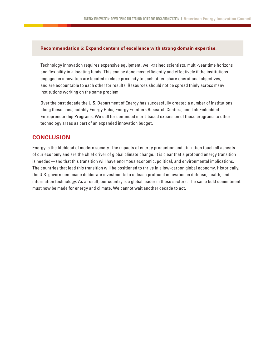#### **Recommendation 5: Expand centers of excellence with strong domain expertise.**

Technology innovation requires expensive equipment, well-trained scientists, multi-year time horizons and flexibility in allocating funds. This can be done most efficiently and effectively if the institutions engaged in innovation are located in close proximity to each other, share operational objectives, and are accountable to each other for results. Resources should not be spread thinly across many institutions working on the same problem.

Over the past decade the U.S. Department of Energy has successfully created a number of institutions along these lines, notably Energy Hubs, Energy Frontiers Research Centers, and Lab Embedded Entrepreneurship Programs. We call for continued merit-based expansion of these programs to other technology areas as part of an expanded innovation budget.

#### **CONCLUSION**

Energy is the lifeblood of modern society. The impacts of energy production and utilization touch all aspects of our economy and are the chief driver of global climate change. It is clear that a profound energy transition is needed—and that this transition will have enormous economic, political, and environmental implications. The countries that lead this transition will be positioned to thrive in a low-carbon global economy. Historically, the U.S. government made deliberate investments to unleash profound innovation in defense, health, and information technology. As a result, our country is a global leader in these sectors. The same bold commitment must now be made for energy and climate. We cannot wait another decade to act.